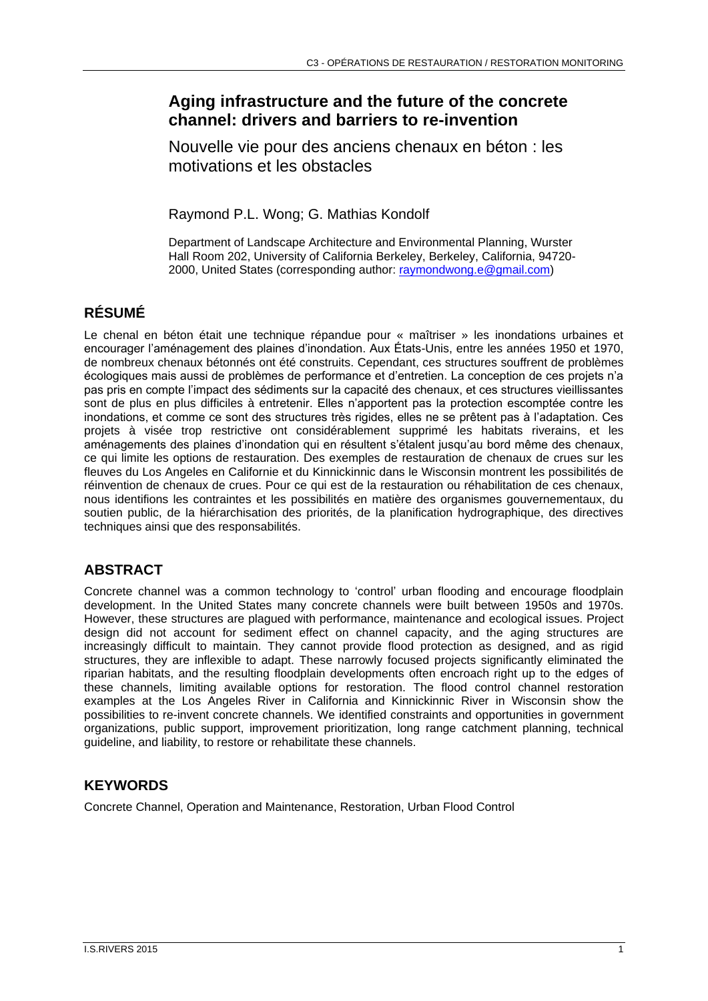# **Aging infrastructure and the future of the concrete channel: drivers and barriers to re-invention**

Nouvelle vie pour des anciens chenaux en béton : les motivations et les obstacles

Raymond P.L. Wong; G. Mathias Kondolf

Department of Landscape Architecture and Environmental Planning, Wurster Hall Room 202, University of California Berkeley, Berkeley, California, 94720- 2000, United States (corresponding author: [raymondwong.e@gmail.com\)](mailto:raymondwong.e@gmail.com)

# **RÉSUMÉ**

Le chenal en béton était une technique répandue pour « maîtriser » les inondations urbaines et encourager l'aménagement des plaines d'inondation. Aux États-Unis, entre les années 1950 et 1970, de nombreux chenaux bétonnés ont été construits. Cependant, ces structures souffrent de problèmes écologiques mais aussi de problèmes de performance et d'entretien. La conception de ces projets n'a pas pris en compte l'impact des sédiments sur la capacité des chenaux, et ces structures vieillissantes sont de plus en plus difficiles à entretenir. Elles n'apportent pas la protection escomptée contre les inondations, et comme ce sont des structures très rigides, elles ne se prêtent pas à l'adaptation. Ces projets à visée trop restrictive ont considérablement supprimé les habitats riverains, et les aménagements des plaines d'inondation qui en résultent s'étalent jusqu'au bord même des chenaux, ce qui limite les options de restauration. Des exemples de restauration de chenaux de crues sur les fleuves du Los Angeles en Californie et du Kinnickinnic dans le Wisconsin montrent les possibilités de réinvention de chenaux de crues. Pour ce qui est de la restauration ou réhabilitation de ces chenaux, nous identifions les contraintes et les possibilités en matière des organismes gouvernementaux, du soutien public, de la hiérarchisation des priorités, de la planification hydrographique, des directives techniques ainsi que des responsabilités.

# **ABSTRACT**

Concrete channel was a common technology to 'control' urban flooding and encourage floodplain development. In the United States many concrete channels were built between 1950s and 1970s. However, these structures are plagued with performance, maintenance and ecological issues. Project design did not account for sediment effect on channel capacity, and the aging structures are increasingly difficult to maintain. They cannot provide flood protection as designed, and as rigid structures, they are inflexible to adapt. These narrowly focused projects significantly eliminated the riparian habitats, and the resulting floodplain developments often encroach right up to the edges of these channels, limiting available options for restoration. The flood control channel restoration examples at the Los Angeles River in California and Kinnickinnic River in Wisconsin show the possibilities to re-invent concrete channels. We identified constraints and opportunities in government organizations, public support, improvement prioritization, long range catchment planning, technical guideline, and liability, to restore or rehabilitate these channels.

# **KEYWORDS**

Concrete Channel, Operation and Maintenance, Restoration, Urban Flood Control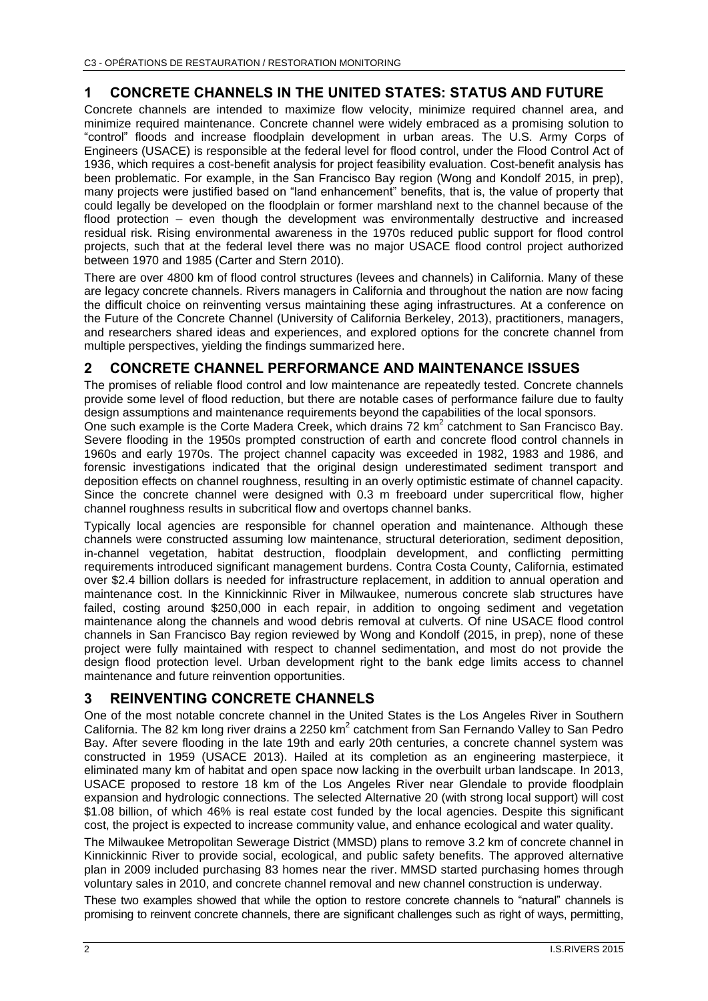# **1 CONCRETE CHANNELS IN THE UNITED STATES: STATUS AND FUTURE**

Concrete channels are intended to maximize flow velocity, minimize required channel area, and minimize required maintenance. Concrete channel were widely embraced as a promising solution to "control" floods and increase floodplain development in urban areas. The U.S. Army Corps of Engineers (USACE) is responsible at the federal level for flood control, under the Flood Control Act of 1936, which requires a cost-benefit analysis for project feasibility evaluation. Cost-benefit analysis has been problematic. For example, in the San Francisco Bay region (Wong and Kondolf 2015, in prep), many projects were justified based on "land enhancement" benefits, that is, the value of property that could legally be developed on the floodplain or former marshland next to the channel because of the flood protection – even though the development was environmentally destructive and increased residual risk. Rising environmental awareness in the 1970s reduced public support for flood control projects, such that at the federal level there was no major USACE flood control project authorized between 1970 and 1985 (Carter and Stern 2010).

There are over 4800 km of flood control structures (levees and channels) in California. Many of these are legacy concrete channels. Rivers managers in California and throughout the nation are now facing the difficult choice on reinventing versus maintaining these aging infrastructures. At a conference on the Future of the Concrete Channel (University of California Berkeley, 2013), practitioners, managers, and researchers shared ideas and experiences, and explored options for the concrete channel from multiple perspectives, yielding the findings summarized here.

# **2 CONCRETE CHANNEL PERFORMANCE AND MAINTENANCE ISSUES**

The promises of reliable flood control and low maintenance are repeatedly tested. Concrete channels provide some level of flood reduction, but there are notable cases of performance failure due to faulty design assumptions and maintenance requirements beyond the capabilities of the local sponsors.

One such example is the Corte Madera Creek, which drains 72 km<sup>2</sup> catchment to San Francisco Bay. Severe flooding in the 1950s prompted construction of earth and concrete flood control channels in 1960s and early 1970s. The project channel capacity was exceeded in 1982, 1983 and 1986, and forensic investigations indicated that the original design underestimated sediment transport and deposition effects on channel roughness, resulting in an overly optimistic estimate of channel capacity. Since the concrete channel were designed with 0.3 m freeboard under supercritical flow, higher channel roughness results in subcritical flow and overtops channel banks.

Typically local agencies are responsible for channel operation and maintenance. Although these channels were constructed assuming low maintenance, structural deterioration, sediment deposition, in-channel vegetation, habitat destruction, floodplain development, and conflicting permitting requirements introduced significant management burdens. Contra Costa County, California, estimated over \$2.4 billion dollars is needed for infrastructure replacement, in addition to annual operation and maintenance cost. In the Kinnickinnic River in Milwaukee, numerous concrete slab structures have failed, costing around \$250,000 in each repair, in addition to ongoing sediment and vegetation maintenance along the channels and wood debris removal at culverts. Of nine USACE flood control channels in San Francisco Bay region reviewed by Wong and Kondolf (2015, in prep), none of these project were fully maintained with respect to channel sedimentation, and most do not provide the design flood protection level. Urban development right to the bank edge limits access to channel maintenance and future reinvention opportunities.

# **3 REINVENTING CONCRETE CHANNELS**

One of the most notable concrete channel in the United States is the Los Angeles River in Southern California. The 82 km long river drains a 2250 km<sup>2</sup> catchment from San Fernando Valley to San Pedro Bay. After severe flooding in the late 19th and early 20th centuries, a concrete channel system was constructed in 1959 (USACE 2013). Hailed at its completion as an engineering masterpiece, it eliminated many km of habitat and open space now lacking in the overbuilt urban landscape. In 2013, USACE proposed to restore 18 km of the Los Angeles River near Glendale to provide floodplain expansion and hydrologic connections. The selected Alternative 20 (with strong local support) will cost \$1.08 billion, of which 46% is real estate cost funded by the local agencies. Despite this significant cost, the project is expected to increase community value, and enhance ecological and water quality.

The Milwaukee Metropolitan Sewerage District (MMSD) plans to remove 3.2 km of concrete channel in Kinnickinnic River to provide social, ecological, and public safety benefits. The approved alternative plan in 2009 included purchasing 83 homes near the river. MMSD started purchasing homes through voluntary sales in 2010, and concrete channel removal and new channel construction is underway.

These two examples showed that while the option to restore concrete channels to "natural" channels is promising to reinvent concrete channels, there are significant challenges such as right of ways, permitting,